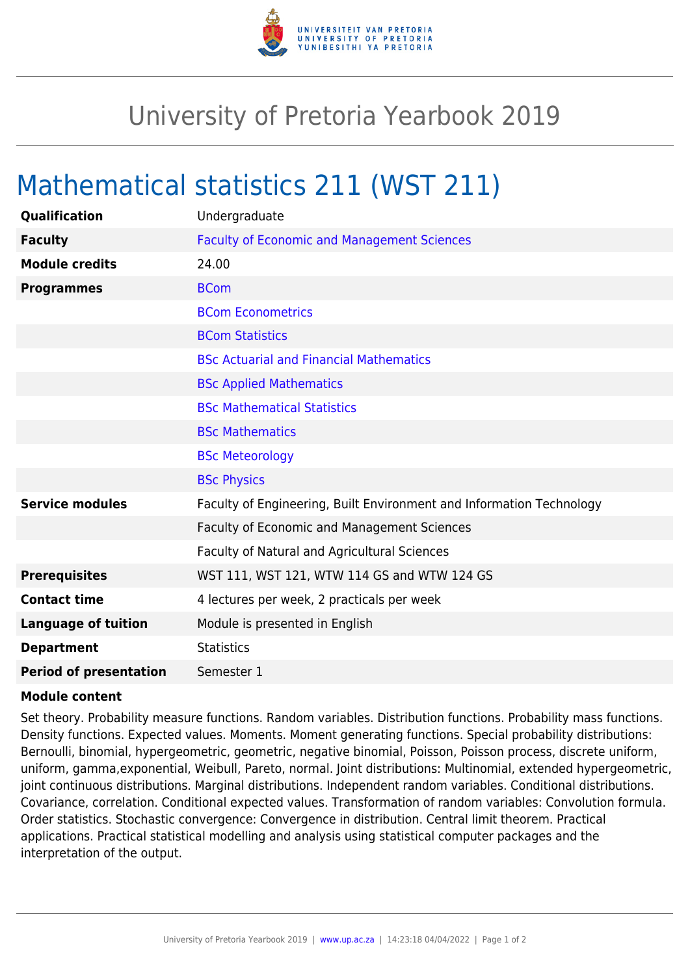

## University of Pretoria Yearbook 2019

## Mathematical statistics 211 (WST 211)

| Qualification                 | Undergraduate                                                        |
|-------------------------------|----------------------------------------------------------------------|
| <b>Faculty</b>                | <b>Faculty of Economic and Management Sciences</b>                   |
| <b>Module credits</b>         | 24.00                                                                |
| <b>Programmes</b>             | <b>BCom</b>                                                          |
|                               | <b>BCom Econometrics</b>                                             |
|                               | <b>BCom Statistics</b>                                               |
|                               | <b>BSc Actuarial and Financial Mathematics</b>                       |
|                               | <b>BSc Applied Mathematics</b>                                       |
|                               | <b>BSc Mathematical Statistics</b>                                   |
|                               | <b>BSc Mathematics</b>                                               |
|                               | <b>BSc Meteorology</b>                                               |
|                               | <b>BSc Physics</b>                                                   |
| <b>Service modules</b>        | Faculty of Engineering, Built Environment and Information Technology |
|                               | Faculty of Economic and Management Sciences                          |
|                               | Faculty of Natural and Agricultural Sciences                         |
| <b>Prerequisites</b>          | WST 111, WST 121, WTW 114 GS and WTW 124 GS                          |
| <b>Contact time</b>           | 4 lectures per week, 2 practicals per week                           |
| <b>Language of tuition</b>    | Module is presented in English                                       |
| <b>Department</b>             | <b>Statistics</b>                                                    |
| <b>Period of presentation</b> | Semester 1                                                           |

## **Module content**

Set theory. Probability measure functions. Random variables. Distribution functions. Probability mass functions. Density functions. Expected values. Moments. Moment generating functions. Special probability distributions: Bernoulli, binomial, hypergeometric, geometric, negative binomial, Poisson, Poisson process, discrete uniform, uniform, gamma,exponential, Weibull, Pareto, normal. Joint distributions: Multinomial, extended hypergeometric, joint continuous distributions. Marginal distributions. Independent random variables. Conditional distributions. Covariance, correlation. Conditional expected values. Transformation of random variables: Convolution formula. Order statistics. Stochastic convergence: Convergence in distribution. Central limit theorem. Practical applications. Practical statistical modelling and analysis using statistical computer packages and the interpretation of the output.